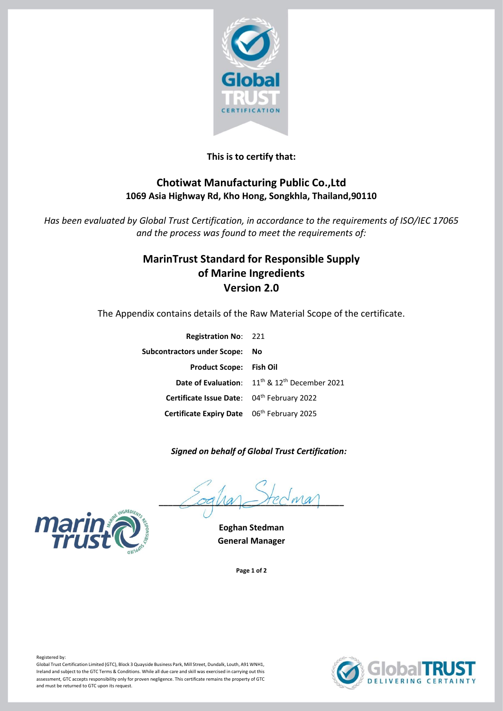

## **This is to certify that:**

## **Chotiwat Manufacturing Public Co.,Ltd 1069 Asia Highway Rd, Kho Hong, Songkhla, Thailand,90110**

*Has been evaluated by Global Trust Certification, in accordance to the requirements of ISO/IEC 17065 and the process was found to meet the requirements of:*

# **MarinTrust Standard for Responsible Supply of Marine Ingredients Version 2.0**

The Appendix contains details of the Raw Material Scope of the certificate.

| <b>Registration No: 221</b>                |                                                                              |
|--------------------------------------------|------------------------------------------------------------------------------|
| Subcontractors under Scope:                | No                                                                           |
| <b>Product Scope: Fish Oil</b>             |                                                                              |
|                                            | <b>Date of Evaluation:</b> 11 <sup>th</sup> & 12 <sup>th</sup> December 2021 |
| Certificate Issue Date: 04th February 2022 |                                                                              |
| Certificate Expiry Date 06th February 2025 |                                                                              |
|                                            |                                                                              |

### *Signed on behalf of Global Trust Certification:*

 $\angle$ oqua $\angle$ rec $w$ a



**Page 1 of 2**





Registered by:

Global Trust Certification Limited (GTC), Block 3 Quayside Business Park, Mill Street, Dundalk, Louth, A91 WNH1, Ireland and subject to the GTC Terms & Conditions. While all due care and skill was exercised in carrying out this assessment, GTC accepts responsibility only for proven negligence. This certificate remains the property of GTC and must be returned to GTC upon its request.